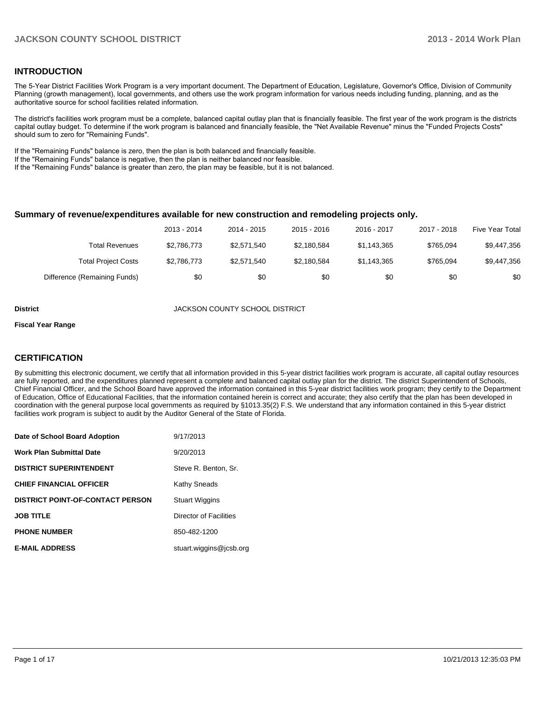#### **INTRODUCTION**

The 5-Year District Facilities Work Program is a very important document. The Department of Education, Legislature, Governor's Office, Division of Community Planning (growth management), local governments, and others use the work program information for various needs including funding, planning, and as the authoritative source for school facilities related information.

The district's facilities work program must be a complete, balanced capital outlay plan that is financially feasible. The first year of the work program is the districts capital outlay budget. To determine if the work program is balanced and financially feasible, the "Net Available Revenue" minus the "Funded Projects Costs" should sum to zero for "Remaining Funds".

If the "Remaining Funds" balance is zero, then the plan is both balanced and financially feasible.

If the "Remaining Funds" balance is negative, then the plan is neither balanced nor feasible.

If the "Remaining Funds" balance is greater than zero, the plan may be feasible, but it is not balanced.

#### **Summary of revenue/expenditures available for new construction and remodeling projects only.**

| Five Year Total | 2017 - 2018 | 2016 - 2017 | $2015 - 2016$ | 2014 - 2015 | 2013 - 2014 |                              |
|-----------------|-------------|-------------|---------------|-------------|-------------|------------------------------|
| \$9,447,356     | \$765.094   | \$1.143.365 | \$2.180.584   | \$2.571.540 | \$2,786,773 | Total Revenues               |
| \$9,447,356     | \$765.094   | \$1.143.365 | \$2.180.584   | \$2.571.540 | \$2,786,773 | <b>Total Project Costs</b>   |
| \$0             | \$0         | \$0         | \$0           | \$0         | \$0         | Difference (Remaining Funds) |

**District** JACKSON COUNTY SCHOOL DISTRICT

#### **Fiscal Year Range**

#### **CERTIFICATION**

By submitting this electronic document, we certify that all information provided in this 5-year district facilities work program is accurate, all capital outlay resources are fully reported, and the expenditures planned represent a complete and balanced capital outlay plan for the district. The district Superintendent of Schools, Chief Financial Officer, and the School Board have approved the information contained in this 5-year district facilities work program; they certify to the Department of Education, Office of Educational Facilities, that the information contained herein is correct and accurate; they also certify that the plan has been developed in coordination with the general purpose local governments as required by §1013.35(2) F.S. We understand that any information contained in this 5-year district facilities work program is subject to audit by the Auditor General of the State of Florida.

| Date of School Board Adoption           | 9/17/2013               |
|-----------------------------------------|-------------------------|
| <b>Work Plan Submittal Date</b>         | 9/20/2013               |
| <b>DISTRICT SUPERINTENDENT</b>          | Steve R. Benton, Sr.    |
| <b>CHIEF FINANCIAL OFFICER</b>          | <b>Kathy Sneads</b>     |
| <b>DISTRICT POINT-OF-CONTACT PERSON</b> | <b>Stuart Wiggins</b>   |
| <b>JOB TITLE</b>                        | Director of Facilities  |
| <b>PHONE NUMBER</b>                     | 850-482-1200            |
| <b>E-MAIL ADDRESS</b>                   | stuart.wiggins@jcsb.org |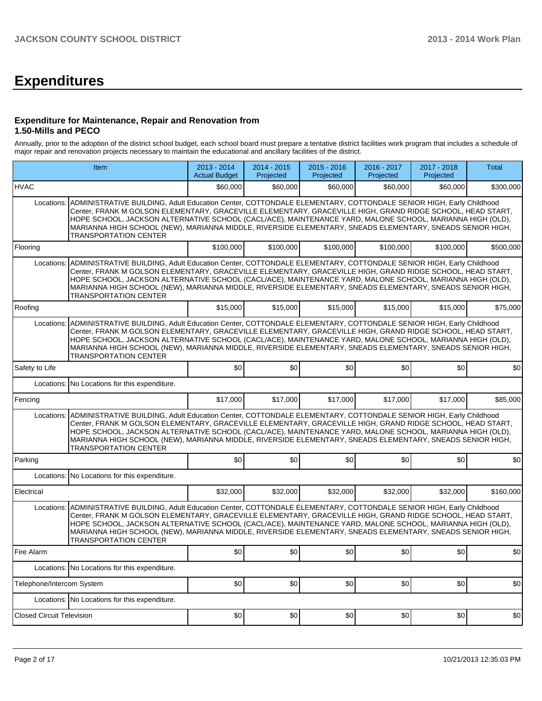# **Expenditures**

#### **Expenditure for Maintenance, Repair and Renovation from 1.50-Mills and PECO**

Annually, prior to the adoption of the district school budget, each school board must prepare a tentative district facilities work program that includes a schedule of major repair and renovation projects necessary to maintain the educational and ancillary facilities of the district.

| Item                             |                                                                                                                                                                                                                                                                                                                                                                                                                                                                                                    | 2013 - 2014<br><b>Actual Budget</b> | 2014 - 2015<br>Projected | $2015 - 2016$<br>Projected | 2016 - 2017<br>Projected | 2017 - 2018<br>Projected | Total     |
|----------------------------------|----------------------------------------------------------------------------------------------------------------------------------------------------------------------------------------------------------------------------------------------------------------------------------------------------------------------------------------------------------------------------------------------------------------------------------------------------------------------------------------------------|-------------------------------------|--------------------------|----------------------------|--------------------------|--------------------------|-----------|
| <b>HVAC</b>                      |                                                                                                                                                                                                                                                                                                                                                                                                                                                                                                    | \$60,000                            | \$60,000                 | \$60,000                   | \$60,000                 | \$60,000                 | \$300,000 |
| Locations:                       | ADMINISTRATIVE BUILDING, Adult Education Center, COTTONDALE ELEMENTARY, COTTONDALE SENIOR HIGH, Early Childhood<br>Center, FRANK M GOLSON ELEMENTARY, GRACEVILLE ELEMENTARY, GRACEVILLE HIGH, GRAND RIDGE SCHOOL, HEAD START,<br>HOPE SCHOOL, JACKSON ALTERNATIVE SCHOOL (CACL/ACE), MAINTENANCE YARD, MALONE SCHOOL, MARIANNA HIGH (OLD),<br>MARIANNA HIGH SCHOOL (NEW), MARIANNA MIDDLE, RIVERSIDE ELEMENTARY, SNEADS ELEMENTARY, SNEADS SENIOR HIGH,<br><b>TRANSPORTATION CENTER</b>            |                                     |                          |                            |                          |                          |           |
| Flooring                         |                                                                                                                                                                                                                                                                                                                                                                                                                                                                                                    | \$100,000                           | \$100,000                | \$100,000                  | \$100,000                | \$100.000                | \$500,000 |
|                                  | Locations: ADMINISTRATIVE BUILDING, Adult Education Center, COTTONDALE ELEMENTARY, COTTONDALE SENIOR HIGH, Early Childhood<br>Center, FRANK M GOLSON ELEMENTARY, GRACEVILLE ELEMENTARY, GRACEVILLE HIGH, GRAND RIDGE SCHOOL, HEAD START,<br>HOPE SCHOOL, JACKSON ALTERNATIVE SCHOOL (CACL/ACE), MAINTENANCE YARD, MALONE SCHOOL, MARIANNA HIGH (OLD),<br>MARIANNA HIGH SCHOOL (NEW), MARIANNA MIDDLE, RIVERSIDE ELEMENTARY, SNEADS ELEMENTARY, SNEADS SENIOR HIGH,<br><b>TRANSPORTATION CENTER</b> |                                     |                          |                            |                          |                          |           |
| Roofing                          |                                                                                                                                                                                                                                                                                                                                                                                                                                                                                                    | \$15,000                            | \$15,000                 | \$15,000                   | \$15,000                 | \$15,000                 | \$75,000  |
| Locations:                       | ADMINISTRATIVE BUILDING, Adult Education Center, COTTONDALE ELEMENTARY, COTTONDALE SENIOR HIGH, Early Childhood<br>Center, FRANK M GOLSON ELEMENTARY, GRACEVILLE ELEMENTARY, GRACEVILLE HIGH, GRAND RIDGE SCHOOL, HEAD START,<br>HOPE SCHOOL, JACKSON ALTERNATIVE SCHOOL (CACL/ACE), MAINTENANCE YARD, MALONE SCHOOL, MARIANNA HIGH (OLD),<br>MARIANNA HIGH SCHOOL (NEW), MARIANNA MIDDLE, RIVERSIDE ELEMENTARY, SNEADS ELEMENTARY, SNEADS SENIOR HIGH,<br><b>TRANSPORTATION CENTER</b>            |                                     |                          |                            |                          |                          |           |
| Safety to Life                   |                                                                                                                                                                                                                                                                                                                                                                                                                                                                                                    | \$0                                 | \$0                      | \$0                        | \$0                      | \$0                      | \$0       |
| Locations:                       | No Locations for this expenditure.                                                                                                                                                                                                                                                                                                                                                                                                                                                                 |                                     |                          |                            |                          |                          |           |
| Fencing                          |                                                                                                                                                                                                                                                                                                                                                                                                                                                                                                    | \$17,000                            | \$17,000                 | \$17,000                   | \$17,000                 | \$17,000                 | \$85,000  |
| Locations:                       | ADMINISTRATIVE BUILDING, Adult Education Center, COTTONDALE ELEMENTARY, COTTONDALE SENIOR HIGH, Early Childhood<br>Center, FRANK M GOLSON ELEMENTARY, GRACEVILLE ELEMENTARY, GRACEVILLE HIGH, GRAND RIDGE SCHOOL, HEAD START,<br>HOPE SCHOOL, JACKSON ALTERNATIVE SCHOOL (CACL/ACE), MAINTENANCE YARD, MALONE SCHOOL, MARIANNA HIGH (OLD),<br>MARIANNA HIGH SCHOOL (NEW), MARIANNA MIDDLE, RIVERSIDE ELEMENTARY, SNEADS ELEMENTARY, SNEADS SENIOR HIGH,<br>TRANSPORTATION CENTER                   |                                     |                          |                            |                          |                          |           |
| Parking                          |                                                                                                                                                                                                                                                                                                                                                                                                                                                                                                    | \$0                                 | \$0                      | \$0                        | \$0                      | \$0                      | \$0       |
|                                  | Locations: No Locations for this expenditure.                                                                                                                                                                                                                                                                                                                                                                                                                                                      |                                     |                          |                            |                          |                          |           |
| Electrical                       |                                                                                                                                                                                                                                                                                                                                                                                                                                                                                                    | \$32,000                            | \$32,000                 | \$32,000                   | \$32,000                 | \$32,000                 | \$160,000 |
| Locations:                       | ADMINISTRATIVE BUILDING, Adult Education Center, COTTONDALE ELEMENTARY, COTTONDALE SENIOR HIGH, Early Childhood<br>Center, FRANK M GOLSON ELEMENTARY, GRACEVILLE ELEMENTARY, GRACEVILLE HIGH, GRAND RIDGE SCHOOL, HEAD START,<br>HOPE SCHOOL, JACKSON ALTERNATIVE SCHOOL (CACL/ACE), MAINTENANCE YARD, MALONE SCHOOL, MARIANNA HIGH (OLD),<br>MARIANNA HIGH SCHOOL (NEW), MARIANNA MIDDLE, RIVERSIDE ELEMENTARY, SNEADS ELEMENTARY, SNEADS SENIOR HIGH,<br><b>TRANSPORTATION CENTER</b>            |                                     |                          |                            |                          |                          |           |
| Fire Alarm                       |                                                                                                                                                                                                                                                                                                                                                                                                                                                                                                    | \$0                                 | \$0                      | \$0                        | \$0                      | \$0                      | \$0       |
|                                  | Locations: No Locations for this expenditure.                                                                                                                                                                                                                                                                                                                                                                                                                                                      |                                     |                          |                            |                          |                          |           |
| Telephone/Intercom System        |                                                                                                                                                                                                                                                                                                                                                                                                                                                                                                    | \$0                                 | \$0                      | \$0                        | \$0                      | \$0                      | \$0       |
|                                  | Locations: No Locations for this expenditure.                                                                                                                                                                                                                                                                                                                                                                                                                                                      |                                     |                          |                            |                          |                          |           |
| <b>Closed Circuit Television</b> |                                                                                                                                                                                                                                                                                                                                                                                                                                                                                                    | \$0                                 | \$0                      | \$0                        | \$0                      | \$0                      | \$0       |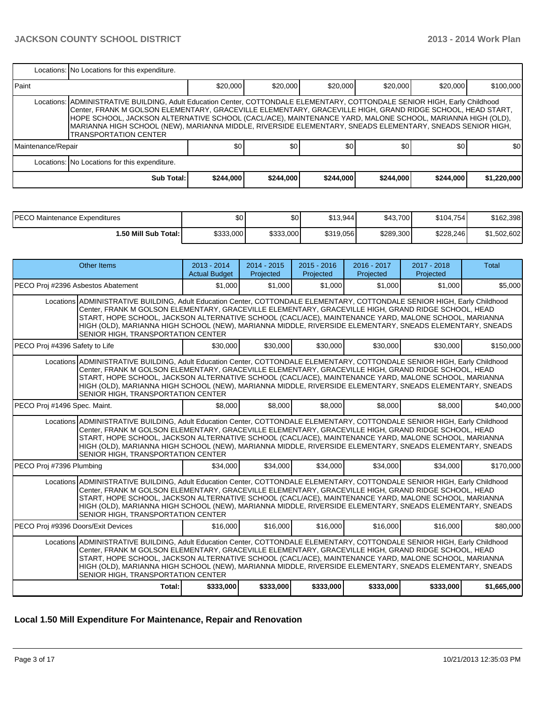|                    | Locations: No Locations for this expenditure.                                                                                                                                                                                                                                                                                                                                                                                                                                                        |           |           |           |           |           |             |  |  |  |
|--------------------|------------------------------------------------------------------------------------------------------------------------------------------------------------------------------------------------------------------------------------------------------------------------------------------------------------------------------------------------------------------------------------------------------------------------------------------------------------------------------------------------------|-----------|-----------|-----------|-----------|-----------|-------------|--|--|--|
| <b>I</b> Paint     |                                                                                                                                                                                                                                                                                                                                                                                                                                                                                                      | \$20,000  | \$20,000  | \$20,000  | \$20,000  | \$20,000  | \$100,000   |  |  |  |
|                    | Locations:   ADMINISTRATIVE BUILDING, Adult Education Center, COTTONDALE ELEMENTARY, COTTONDALE SENIOR HIGH, Early Childhood<br>Center, FRANK M GOLSON ELEMENTARY, GRACEVILLE ELEMENTARY, GRACEVILLE HIGH, GRAND RIDGE SCHOOL, HEAD START,<br>HOPE SCHOOL, JACKSON ALTERNATIVE SCHOOL (CACL/ACE), MAINTENANCE YARD, MALONE SCHOOL, MARIANNA HIGH (OLD),<br>MARIANNA HIGH SCHOOL (NEW), MARIANNA MIDDLE, RIVERSIDE ELEMENTARY, SNEADS ELEMENTARY, SNEADS SENIOR HIGH,<br><b>TRANSPORTATION CENTER</b> |           |           |           |           |           |             |  |  |  |
| Maintenance/Repair |                                                                                                                                                                                                                                                                                                                                                                                                                                                                                                      | \$0       | \$0       | \$0       | \$0       | \$0       | \$0         |  |  |  |
|                    | Locations: No Locations for this expenditure.                                                                                                                                                                                                                                                                                                                                                                                                                                                        |           |           |           |           |           |             |  |  |  |
|                    | <b>Sub Total:</b>                                                                                                                                                                                                                                                                                                                                                                                                                                                                                    | \$244,000 | \$244,000 | \$244,000 | \$244,000 | \$244,000 | \$1,220,000 |  |  |  |

| IPECO Maintenance Expenditures | \$0       | \$0       | \$13.944  | \$43,700  | \$104,754 | \$162,398   |
|--------------------------------|-----------|-----------|-----------|-----------|-----------|-------------|
| ا :50 Mill Sub Total.          | \$333,000 | \$333,000 | \$319,056 | \$289,300 | \$228,246 | \$1,502,602 |

| <b>Other Items</b>                                                                                                                                                                                                                                                                                                                                                                                                                                                                                | $2013 - 2014$<br><b>Actual Budget</b> | 2014 - 2015<br>Projected | $2015 - 2016$<br>Projected | $2016 - 2017$<br>Projected | 2017 - 2018<br>Projected | <b>Total</b> |  |
|---------------------------------------------------------------------------------------------------------------------------------------------------------------------------------------------------------------------------------------------------------------------------------------------------------------------------------------------------------------------------------------------------------------------------------------------------------------------------------------------------|---------------------------------------|--------------------------|----------------------------|----------------------------|--------------------------|--------------|--|
| PECO Proj #2396 Asbestos Abatement                                                                                                                                                                                                                                                                                                                                                                                                                                                                | \$1,000                               | \$1,000                  | \$1,000                    | \$1,000                    | \$1,000                  | \$5,000      |  |
| Locations ADMINISTRATIVE BUILDING, Adult Education Center, COTTONDALE ELEMENTARY, COTTONDALE SENIOR HIGH, Early Childhood<br>Center, FRANK M GOLSON ELEMENTARY, GRACEVILLE ELEMENTARY, GRACEVILLE HIGH, GRAND RIDGE SCHOOL, HEAD<br>START, HOPE SCHOOL, JACKSON ALTERNATIVE SCHOOL (CACL/ACE), MAINTENANCE YARD, MALONE SCHOOL, MARIANNA<br>HIGH (OLD), MARIANNA HIGH SCHOOL (NEW), MARIANNA MIDDLE, RIVERSIDE ELEMENTARY, SNEADS ELEMENTARY, SNEADS<br>SENIOR HIGH, TRANSPORTATION CENTER        |                                       |                          |                            |                            |                          |              |  |
| PECO Proj #4396 Safety to Life                                                                                                                                                                                                                                                                                                                                                                                                                                                                    | \$30,000                              | \$30,000                 | \$30,000                   | \$30,000                   | \$30,000                 | \$150,000    |  |
| Locations ADMINISTRATIVE BUILDING, Adult Education Center, COTTONDALE ELEMENTARY, COTTONDALE SENIOR HIGH, Early Childhood<br>Center, FRANK M GOLSON ELEMENTARY, GRACEVILLE ELEMENTARY, GRACEVILLE HIGH, GRAND RIDGE SCHOOL, HEAD<br>START, HOPE SCHOOL, JACKSON ALTERNATIVE SCHOOL (CACL/ACE), MAINTENANCE YARD, MALONE SCHOOL, MARIANNA<br>HIGH (OLD), MARIANNA HIGH SCHOOL (NEW), MARIANNA MIDDLE, RIVERSIDE ELEMENTARY, SNEADS ELEMENTARY, SNEADS<br>SENIOR HIGH, TRANSPORTATION CENTER        |                                       |                          |                            |                            |                          |              |  |
| PECO Proj #1496 Spec. Maint.                                                                                                                                                                                                                                                                                                                                                                                                                                                                      | \$8,000                               | \$8,000                  | \$8,000                    | \$8,000                    | \$8,000                  | \$40,000     |  |
| Locations ADMINISTRATIVE BUILDING, Adult Education Center, COTTONDALE ELEMENTARY, COTTONDALE SENIOR HIGH, Early Childhood<br>Center, FRANK M GOLSON ELEMENTARY, GRACEVILLE ELEMENTARY, GRACEVILLE HIGH, GRAND RIDGE SCHOOL, HEAD<br>START, HOPE SCHOOL, JACKSON ALTERNATIVE SCHOOL (CACL/ACE), MAINTENANCE YARD, MALONE SCHOOL, MARIANNA<br>HIGH (OLD), MARIANNA HIGH SCHOOL (NEW), MARIANNA MIDDLE, RIVERSIDE ELEMENTARY, SNEADS ELEMENTARY, SNEADS<br><b>SENIOR HIGH, TRANSPORTATION CENTER</b> |                                       |                          |                            |                            |                          |              |  |
| PECO Proj #7396 Plumbing                                                                                                                                                                                                                                                                                                                                                                                                                                                                          | \$34.000                              | \$34,000                 | \$34,000                   | \$34,000                   | \$34,000                 | \$170,000    |  |
| Locations ADMINISTRATIVE BUILDING, Adult Education Center, COTTONDALE ELEMENTARY, COTTONDALE SENIOR HIGH, Early Childhood<br>Center, FRANK M GOLSON ELEMENTARY, GRACEVILLE ELEMENTARY, GRACEVILLE HIGH, GRAND RIDGE SCHOOL, HEAD<br>START, HOPE SCHOOL, JACKSON ALTERNATIVE SCHOOL (CACL/ACE), MAINTENANCE YARD, MALONE SCHOOL, MARIANNA<br>HIGH (OLD), MARIANNA HIGH SCHOOL (NEW), MARIANNA MIDDLE, RIVERSIDE ELEMENTARY, SNEADS ELEMENTARY, SNEADS<br>SENIOR HIGH, TRANSPORTATION CENTER        |                                       |                          |                            |                            |                          |              |  |
| PECO Proj #9396 Doors/Exit Devices                                                                                                                                                                                                                                                                                                                                                                                                                                                                | \$16,000                              | \$16,000                 | \$16,000                   | \$16,000                   | \$16,000                 | \$80,000     |  |
| Locations ADMINISTRATIVE BUILDING, Adult Education Center, COTTONDALE ELEMENTARY, COTTONDALE SENIOR HIGH, Early Childhood<br>Center, FRANK M GOLSON ELEMENTARY, GRACEVILLE ELEMENTARY, GRACEVILLE HIGH, GRAND RIDGE SCHOOL, HEAD<br>START, HOPE SCHOOL, JACKSON ALTERNATIVE SCHOOL (CACL/ACE), MAINTENANCE YARD, MALONE SCHOOL, MARIANNA<br>HIGH (OLD), MARIANNA HIGH SCHOOL (NEW), MARIANNA MIDDLE, RIVERSIDE ELEMENTARY, SNEADS ELEMENTARY, SNEADS<br>SENIOR HIGH, TRANSPORTATION CENTER        |                                       |                          |                            |                            |                          |              |  |
| Total:                                                                                                                                                                                                                                                                                                                                                                                                                                                                                            | \$333,000                             | \$333,000                | \$333,000                  | \$333,000                  | \$333,000                | \$1,665,000  |  |

### **Local 1.50 Mill Expenditure For Maintenance, Repair and Renovation**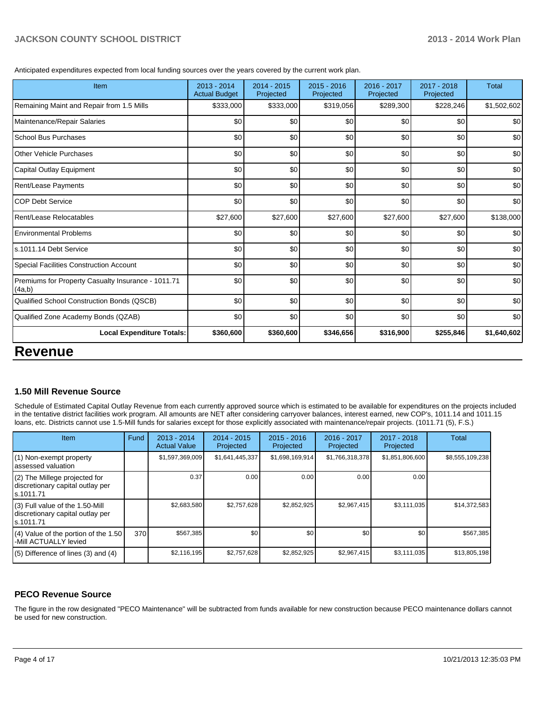Anticipated expenditures expected from local funding sources over the years covered by the current work plan.

| $2015 - 2016$<br>Projected | 2016 - 2017<br>Projected | 2017 - 2018<br>Projected | <b>Total</b>           |
|----------------------------|--------------------------|--------------------------|------------------------|
| \$319,056                  | \$289,300                | \$228,246                | \$1,502,602            |
| \$0                        | \$0                      | \$0                      | \$0                    |
| \$0                        | \$0                      | \$0                      | \$0                    |
| \$0                        | \$0                      | \$0                      | \$0                    |
| \$0                        | \$0                      | \$0                      | \$0                    |
| \$0                        | \$0                      | \$0                      | \$0                    |
| \$0                        | \$0                      | \$0                      | \$0                    |
| \$27,600                   | \$27,600                 | \$27,600                 | \$138,000              |
| \$0                        | \$0                      | \$0                      | \$0                    |
| \$0                        | \$0                      | \$0                      | \$0                    |
| \$0                        | \$0                      | \$0                      | \$0                    |
| \$0                        | \$0                      | \$0                      | \$0                    |
| \$0                        | \$0                      | \$0                      | \$0                    |
| \$0                        | \$0                      | \$0                      | \$0                    |
| \$346,656                  |                          |                          | \$1,640,602            |
|                            |                          |                          | \$255,846<br>\$316,900 |

#### **1.50 Mill Revenue Source**

Schedule of Estimated Capital Outlay Revenue from each currently approved source which is estimated to be available for expenditures on the projects included in the tentative district facilities work program. All amounts are NET after considering carryover balances, interest earned, new COP's, 1011.14 and 1011.15 loans, etc. Districts cannot use 1.5-Mill funds for salaries except for those explicitly associated with maintenance/repair projects. (1011.71 (5), F.S.)

| Item                                                                                | Fund | 2013 - 2014<br><b>Actual Value</b> | 2014 - 2015<br>Projected | $2015 - 2016$<br>Projected | 2016 - 2017<br>Projected | $2017 - 2018$<br>Projected | Total           |
|-------------------------------------------------------------------------------------|------|------------------------------------|--------------------------|----------------------------|--------------------------|----------------------------|-----------------|
| (1) Non-exempt property<br>lassessed valuation                                      |      | \$1,597,369,009                    | \$1,641,445,337          | \$1,698,169,914            | \$1,766,318,378          | \$1,851,806,600            | \$8,555,109,238 |
| $(2)$ The Millege projected for<br>discretionary capital outlay per<br>ls.1011.71   |      | 0.37                               | 0.00                     | 0.00                       | 0.00                     | 0.00                       |                 |
| $(3)$ Full value of the 1.50-Mill<br>discretionary capital outlay per<br>ls.1011.71 |      | \$2,683,580                        | \$2,757,628              | \$2,852,925                | \$2,967,415              | \$3,111,035                | \$14,372,583    |
| $(4)$ Value of the portion of the 1.50<br>-Mill ACTUALLY levied                     | 370  | \$567,385                          | \$0                      | \$0 <sub>1</sub>           | \$0                      | \$0 <sub>0</sub>           | \$567,385       |
| $(5)$ Difference of lines $(3)$ and $(4)$                                           |      | \$2,116,195                        | \$2,757,628              | \$2,852,925                | \$2,967,415              | \$3,111,035                | \$13,805,198    |

#### **PECO Revenue Source**

The figure in the row designated "PECO Maintenance" will be subtracted from funds available for new construction because PECO maintenance dollars cannot be used for new construction.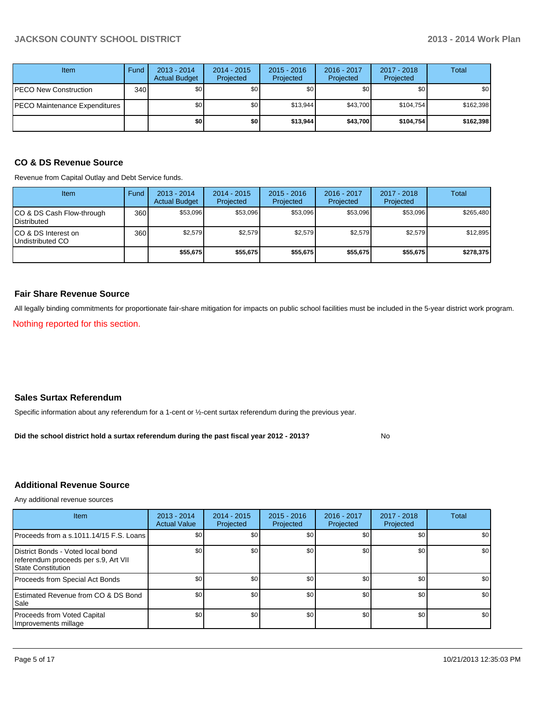| <b>Item</b>                   | Fund | $2013 - 2014$<br><b>Actual Budget</b> | $2014 - 2015$<br>Projected | $2015 - 2016$<br>Projected | 2016 - 2017<br>Projected | 2017 - 2018<br>Projected | Total     |
|-------------------------------|------|---------------------------------------|----------------------------|----------------------------|--------------------------|--------------------------|-----------|
| PECO New Construction         | 340  | \$0 <sub>1</sub>                      | \$0                        | \$0                        | \$0                      | \$0                      | \$0       |
| PECO Maintenance Expenditures |      | \$0                                   | \$0                        | \$13.944                   | \$43.700                 | \$104.754                | \$162,398 |
|                               |      | \$0                                   | \$0                        | \$13,944                   | \$43,700                 | \$104,754                | \$162,398 |

#### **CO & DS Revenue Source**

Revenue from Capital Outlay and Debt Service funds.

| Item                                               | Fund | $2013 - 2014$<br><b>Actual Budget</b> | $2014 - 2015$<br>Projected | $2015 - 2016$<br>Projected | $2016 - 2017$<br>Projected | $2017 - 2018$<br>Projected | Total     |
|----------------------------------------------------|------|---------------------------------------|----------------------------|----------------------------|----------------------------|----------------------------|-----------|
| ICO & DS Cash Flow-through<br><b>I</b> Distributed | 360  | \$53.096                              | \$53,096                   | \$53,096                   | \$53,096                   | \$53,096                   | \$265,480 |
| ICO & DS Interest on<br>Undistributed CO           | 360  | \$2.579                               | \$2,579                    | \$2,579                    | \$2.579                    | \$2,579                    | \$12,895  |
|                                                    |      | \$55,675                              | \$55,675                   | \$55,675                   | \$55,675                   | \$55,675                   | \$278,375 |

#### **Fair Share Revenue Source**

All legally binding commitments for proportionate fair-share mitigation for impacts on public school facilities must be included in the 5-year district work program.

Nothing reported for this section.

#### **Sales Surtax Referendum**

Specific information about any referendum for a 1-cent or ½-cent surtax referendum during the previous year.

No **Did the school district hold a surtax referendum during the past fiscal year 2012 - 2013?**

#### **Additional Revenue Source**

Any additional revenue sources

| <b>Item</b>                                                                                            | $2013 - 2014$<br><b>Actual Value</b> | $2014 - 2015$<br>Projected | $2015 - 2016$<br>Projected | $2016 - 2017$<br>Projected | $2017 - 2018$<br>Projected | Total |
|--------------------------------------------------------------------------------------------------------|--------------------------------------|----------------------------|----------------------------|----------------------------|----------------------------|-------|
| Proceeds from a s.1011.14/15 F.S. Loans                                                                | \$0 <sub>1</sub>                     | \$0 <sub>1</sub>           | \$0                        | \$0                        | \$0                        | \$0   |
| District Bonds - Voted local bond<br>referendum proceeds per s.9, Art VII<br><b>State Constitution</b> | \$0                                  | \$0                        | \$0                        | \$0                        | \$0                        | \$0   |
| Proceeds from Special Act Bonds                                                                        | \$0                                  | \$0 <sub>1</sub>           | \$0                        | \$0                        | \$0                        | \$0   |
| <b>Estimated Revenue from CO &amp; DS Bond</b><br><b>I</b> Sale                                        | \$0                                  | \$0                        | \$0                        | \$0                        | \$0                        | \$0   |
| Proceeds from Voted Capital<br>Improvements millage                                                    | \$0                                  | \$0                        | \$0                        | \$0                        | \$0                        | \$0   |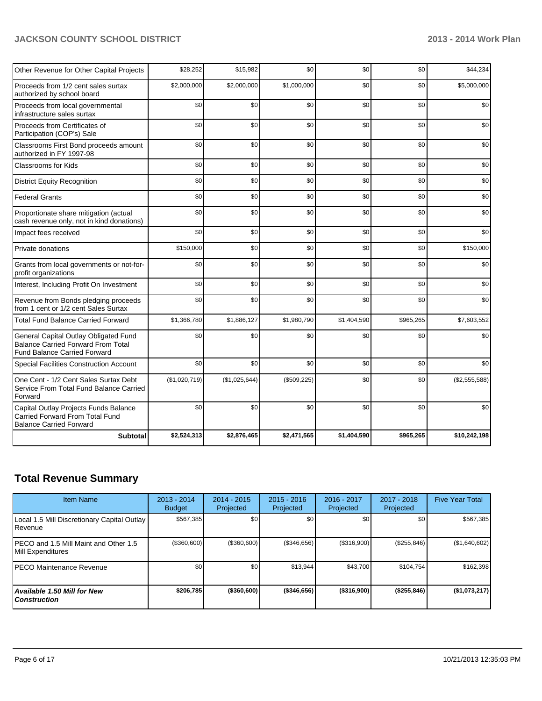| Other Revenue for Other Capital Projects                                                                           | \$28,252      | \$15,982      | \$0         | \$0         | \$0       | \$44,234      |
|--------------------------------------------------------------------------------------------------------------------|---------------|---------------|-------------|-------------|-----------|---------------|
| Proceeds from 1/2 cent sales surtax<br>authorized by school board                                                  | \$2,000,000   | \$2,000,000   | \$1,000,000 | \$0         | \$0       | \$5,000,000   |
| Proceeds from local governmental<br>infrastructure sales surtax                                                    | \$0           | \$0           | \$0         | \$0         | \$0       | \$0           |
| Proceeds from Certificates of<br>Participation (COP's) Sale                                                        | \$0           | \$0           | \$0         | \$0         | \$0       | \$0           |
| Classrooms First Bond proceeds amount<br>authorized in FY 1997-98                                                  | \$0           | \$0           | \$0         | \$0         | \$0       | \$0           |
| <b>Classrooms for Kids</b>                                                                                         | \$0           | \$0           | \$0         | \$0         | \$0       | \$0           |
| <b>District Equity Recognition</b>                                                                                 | \$0           | \$0           | \$0         | \$0         | \$0       | \$0           |
| <b>Federal Grants</b>                                                                                              | \$0           | \$0           | \$0         | \$0         | \$0       | \$0           |
| Proportionate share mitigation (actual<br>cash revenue only, not in kind donations)                                | \$0           | \$0           | \$0         | \$0         | \$0       | \$0           |
| Impact fees received                                                                                               | \$0           | \$0           | \$0         | \$0         | \$0       | \$0           |
| Private donations                                                                                                  | \$150,000     | \$0           | \$0         | \$0         | \$0       | \$150,000     |
| Grants from local governments or not-for-<br>profit organizations                                                  | \$0           | \$0           | \$0         | \$0         | \$0       | \$0           |
| Interest, Including Profit On Investment                                                                           | \$0           | \$0           | \$0         | \$0         | \$0       | \$0           |
| Revenue from Bonds pledging proceeds<br>from 1 cent or 1/2 cent Sales Surtax                                       | \$0           | \$0           | \$0         | \$0         | \$0       | \$0           |
| <b>Total Fund Balance Carried Forward</b>                                                                          | \$1,366,780   | \$1,886,127   | \$1,980,790 | \$1,404,590 | \$965,265 | \$7,603,552   |
| General Capital Outlay Obligated Fund<br><b>Balance Carried Forward From Total</b><br>Fund Balance Carried Forward | \$0           | \$0           | \$0         | \$0         | \$0       | \$0           |
| <b>Special Facilities Construction Account</b>                                                                     | \$0           | \$0           | \$0         | \$0         | \$0       | \$0           |
| One Cent - 1/2 Cent Sales Surtax Debt<br>Service From Total Fund Balance Carried<br>Forward                        | (\$1,020,719) | (\$1,025,644) | (\$509,225) | \$0         | \$0       | (\$2,555,588) |
| Capital Outlay Projects Funds Balance<br><b>Carried Forward From Total Fund</b><br><b>Balance Carried Forward</b>  | \$0           | \$0           | \$0         | \$0         | \$0       | \$0           |
| <b>Subtotal</b>                                                                                                    | \$2,524,313   | \$2,876,465   | \$2,471,565 | \$1,404,590 | \$965,265 | \$10,242,198  |

# **Total Revenue Summary**

| <b>Item Name</b>                                                | 2013 - 2014<br><b>Budget</b> | $2014 - 2015$<br>Projected | $2015 - 2016$<br>Projected | $2016 - 2017$<br>Projected | $2017 - 2018$<br>Projected | <b>Five Year Total</b> |
|-----------------------------------------------------------------|------------------------------|----------------------------|----------------------------|----------------------------|----------------------------|------------------------|
| Local 1.5 Mill Discretionary Capital Outlay<br><b>I</b> Revenue | \$567,385                    | \$0                        | \$0                        | \$0                        | \$0                        | \$567,385              |
| IPECO and 1.5 Mill Maint and Other 1.5<br>Mill Expenditures     | (\$360,600)                  | (\$360,600)                | (\$346,656)                | (S316,900)                 | (\$255, 846)               | (\$1,640,602)          |
| IPECO Maintenance Revenue                                       | \$0                          | \$0                        | \$13,944                   | \$43,700                   | \$104,754                  | \$162,398              |
| Available 1.50 Mill for New l<br>l Construction                 | \$206.785                    | (\$360,600)                | $($ \$346,656)             | $($ \$316,900) $ $         | ( \$255, 846)              | (\$1,073,217)          |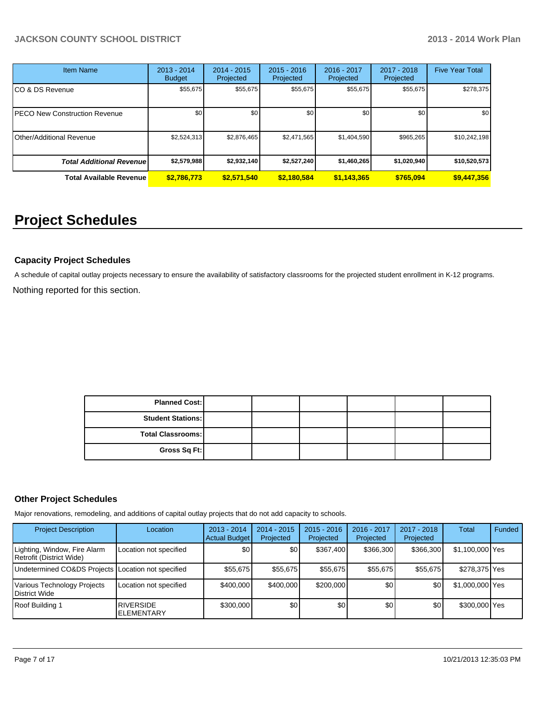| <b>Item Name</b>                     | $2013 - 2014$<br><b>Budget</b> | 2014 - 2015<br>Projected | $2015 - 2016$<br>Projected | 2016 - 2017<br>Projected | 2017 - 2018<br>Projected | <b>Five Year Total</b> |
|--------------------------------------|--------------------------------|--------------------------|----------------------------|--------------------------|--------------------------|------------------------|
| CO & DS Revenue                      | \$55,675                       | \$55,675                 | \$55,675                   | \$55,675                 | \$55,675                 | \$278,375              |
| <b>PECO New Construction Revenue</b> | \$0                            | \$0                      | \$0                        | \$0 <sub>1</sub>         | \$0                      | \$0                    |
| <b>Other/Additional Revenue</b>      | \$2,524,313                    | \$2,876,465              | \$2,471,565                | \$1,404,590              | \$965,265                | \$10,242,198           |
| <b>Total Additional Revenuel</b>     | \$2,579,988                    | \$2,932,140              | \$2,527,240                | \$1,460,265              | \$1,020,940              | \$10,520,573           |
| <b>Total Available Revenue</b>       | \$2,786,773                    | \$2,571,540              | \$2,180,584                | \$1,143,365              | \$765,094                | \$9,447,356            |

# **Project Schedules**

#### **Capacity Project Schedules**

Nothing reported for this section. A schedule of capital outlay projects necessary to ensure the availability of satisfactory classrooms for the projected student enrollment in K-12 programs.

| <b>Planned Cost:</b>     |  |  |  |
|--------------------------|--|--|--|
| <b>Student Stations:</b> |  |  |  |
| <b>Total Classrooms:</b> |  |  |  |
| Gross Sq Ft:             |  |  |  |

#### **Other Project Schedules**

Major renovations, remodeling, and additions of capital outlay projects that do not add capacity to schools.

| <b>Project Description</b>                               | Location                               | $2013 - 2014$<br>Actual Budget | $2014 - 2015$<br>Projected | $2015 - 2016$<br>Projected | 2016 - 2017<br>Projected | 2017 - 2018<br>Projected | Total           | Funded |
|----------------------------------------------------------|----------------------------------------|--------------------------------|----------------------------|----------------------------|--------------------------|--------------------------|-----------------|--------|
| Lighting, Window, Fire Alarm<br>Retrofit (District Wide) | Location not specified                 | \$0                            | \$0                        | \$367.400                  | \$366,300                | \$366,300                | \$1,100,000 Yes |        |
| Undetermined CO&DS Projects Location not specified       |                                        | \$55,675                       | \$55.675                   | \$55,675                   | \$55,675                 | \$55,675                 | \$278,375 Yes   |        |
| Various Technology Projects<br>District Wide             | Location not specified                 | \$400,000                      | \$400,000                  | \$200,000                  | \$0                      | \$0                      | \$1,000,000 Yes |        |
| Roof Building 1                                          | <b>RIVERSIDE</b><br><b>IELEMENTARY</b> | \$300,000                      | \$0                        | \$0                        | \$0                      | \$0                      | \$300,000 Yes   |        |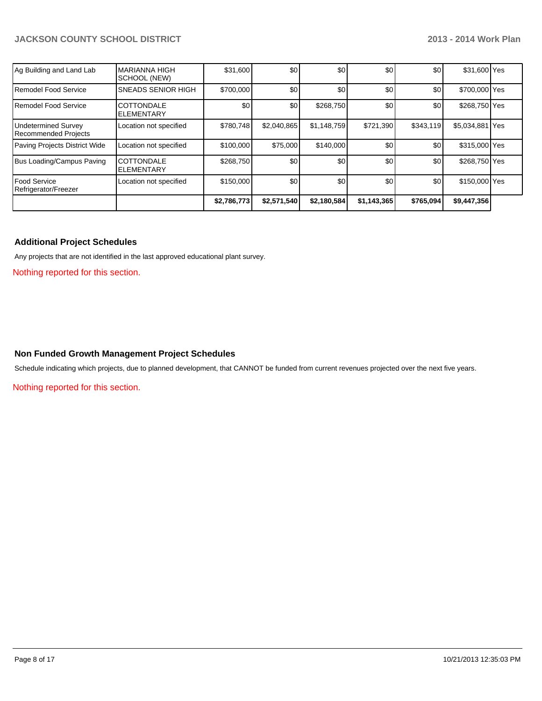| Ag Building and Land Lab                    | IMARIANNA HIGH<br>SCHOOL (NEW)         | \$31,600    | \$0         | \$0              | \$0              | \$0       | \$31,600 Yes    |  |
|---------------------------------------------|----------------------------------------|-------------|-------------|------------------|------------------|-----------|-----------------|--|
| Remodel Food Service                        | <b>SNEADS SENIOR HIGH</b>              | \$700,000   | \$0         | \$0              | \$0 <sub>1</sub> | \$0       | \$700,000 Yes   |  |
| Remodel Food Service                        | <b>COTTONDALE</b><br><b>ELEMENTARY</b> | \$0         | \$0         | \$268,750        | \$0              | \$0       | \$268,750 Yes   |  |
| Undetermined Survey<br>Recommended Projects | Location not specified                 | \$780.748   | \$2,040,865 | \$1,148,759      | \$721,390        | \$343,119 | \$5,034,881 Yes |  |
| Paving Projects District Wide               | Location not specified                 | \$100,000   | \$75,000    | \$140,000        | \$0              | \$0       | \$315,000 Yes   |  |
| Bus Loading/Campus Paving                   | <b>COTTONDALE</b><br><b>ELEMENTARY</b> | \$268,750   | \$0         | \$0 <sub>1</sub> | \$0              | \$0       | \$268,750 Yes   |  |
| Food Service<br>Refrigerator/Freezer        | Location not specified                 | \$150,000   | \$0         | \$0              | \$0              | \$0       | \$150,000 Yes   |  |
|                                             |                                        | \$2,786,773 | \$2,571,540 | \$2,180,584      | \$1,143,365      | \$765,094 | \$9,447,356     |  |

#### **Additional Project Schedules**

Any projects that are not identified in the last approved educational plant survey.

Nothing reported for this section.

#### **Non Funded Growth Management Project Schedules**

Schedule indicating which projects, due to planned development, that CANNOT be funded from current revenues projected over the next five years.

Nothing reported for this section.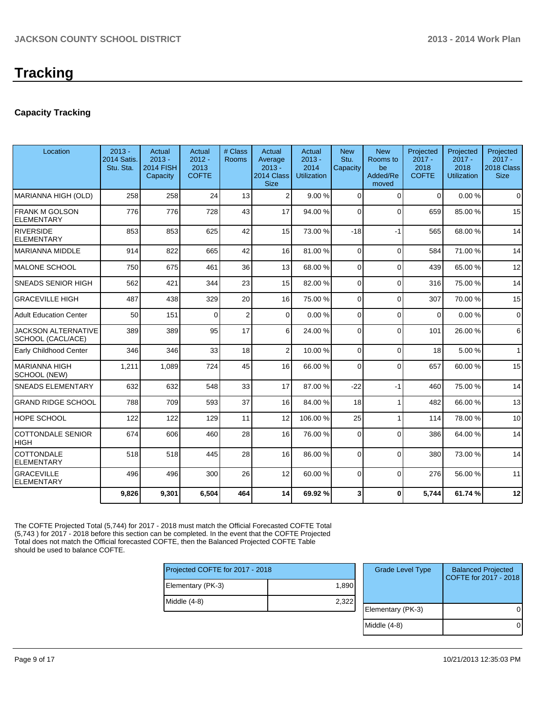#### **Capacity Tracking**

| Location                                        | $2013 -$<br><b>2014 Satis.</b><br>Stu. Sta. | Actual<br>$2013 -$<br><b>2014 FISH</b><br>Capacity | Actual<br>$2012 -$<br>2013<br><b>COFTE</b> | # Class<br>Rooms | Actual<br>Average<br>$2013 -$<br>2014 Class<br><b>Size</b> | Actual<br>$2013 -$<br>2014<br><b>Utilization</b> | <b>New</b><br>Stu.<br>Capacity | <b>New</b><br>Rooms to<br>be<br>Added/Re<br>moved | Projected<br>$2017 -$<br>2018<br><b>COFTE</b> | Projected<br>$2017 -$<br>2018<br><b>Utilization</b> | Projected<br>$2017 -$<br>2018 Class<br><b>Size</b> |
|-------------------------------------------------|---------------------------------------------|----------------------------------------------------|--------------------------------------------|------------------|------------------------------------------------------------|--------------------------------------------------|--------------------------------|---------------------------------------------------|-----------------------------------------------|-----------------------------------------------------|----------------------------------------------------|
| MARIANNA HIGH (OLD)                             | 258                                         | 258                                                | 24                                         | 13               | $\overline{2}$                                             | 9.00%                                            | $\Omega$                       | $\Omega$                                          | $\Omega$                                      | 0.00%                                               | $\Omega$                                           |
| <b>FRANK M GOLSON</b><br><b>ELEMENTARY</b>      | 776                                         | 776                                                | 728                                        | 43               | 17                                                         | 94.00 %                                          | $\Omega$                       | $\Omega$                                          | 659                                           | 85.00 %                                             | 15                                                 |
| RIVERSIDE<br><b>ELEMENTARY</b>                  | 853                                         | 853                                                | 625                                        | 42               | 15                                                         | 73.00 %                                          | $-18$                          | $-1$                                              | 565                                           | 68.00 %                                             | 14                                                 |
| IMARIANNA MIDDLE                                | 914                                         | 822                                                | 665                                        | 42               | 16                                                         | 81.00 %                                          | $\Omega$                       | $\Omega$                                          | 584                                           | 71.00 %                                             | 14                                                 |
| IMALONE SCHOOL                                  | 750                                         | 675                                                | 461                                        | 36               | 13                                                         | 68.00 %                                          | $\Omega$                       | $\Omega$                                          | 439                                           | 65.00 %                                             | 12                                                 |
| <b>SNEADS SENIOR HIGH</b>                       | 562                                         | 421                                                | 344                                        | 23               | 15                                                         | 82.00 %                                          | $\Omega$                       | $\Omega$                                          | 316                                           | 75.00 %                                             | 14                                                 |
| <b>GRACEVILLE HIGH</b>                          | 487                                         | 438                                                | 329                                        | 20               | 16                                                         | 75.00 %                                          | $\Omega$                       | $\Omega$                                          | 307                                           | 70.00%                                              | 15                                                 |
| <b>Adult Education Center</b>                   | 50                                          | 151                                                | $\Omega$                                   | $\overline{2}$   | $\overline{0}$                                             | 0.00%                                            | $\Omega$                       | $\Omega$                                          | $\Omega$                                      | 0.00%                                               | $\mathbf 0$                                        |
| <b>JACKSON ALTERNATIVE</b><br>SCHOOL (CACL/ACE) | 389                                         | 389                                                | 95                                         | 17               | 6                                                          | 24.00 %                                          | $\Omega$                       | $\Omega$                                          | 101                                           | 26.00 %                                             | 6                                                  |
| <b>Early Childhood Center</b>                   | 346                                         | 346                                                | 33                                         | 18               | 2                                                          | 10.00 %                                          | $\Omega$                       | $\Omega$                                          | 18                                            | 5.00%                                               | $\mathbf{1}$                                       |
| IMARIANNA HIGH<br>SCHOOL (NEW)                  | 1,211                                       | 1,089                                              | 724                                        | 45               | 16                                                         | 66.00 %                                          | $\Omega$                       | $\Omega$                                          | 657                                           | 60.00%                                              | 15                                                 |
| <b>SNEADS ELEMENTARY</b>                        | 632                                         | 632                                                | 548                                        | 33               | 17                                                         | 87.00 %                                          | $-22$                          | $-1$                                              | 460                                           | 75.00 %                                             | 14                                                 |
| <b>GRAND RIDGE SCHOOL</b>                       | 788                                         | 709                                                | 593                                        | 37               | 16                                                         | 84.00 %                                          | 18                             | 1                                                 | 482                                           | 66.00 %                                             | 13                                                 |
| <b>HOPE SCHOOL</b>                              | 122                                         | 122                                                | 129                                        | 11               | 12                                                         | 106.00 %                                         | 25                             | 1                                                 | 114                                           | 78.00 %                                             | 10                                                 |
| <b>COTTONDALE SENIOR</b><br><b>HIGH</b>         | 674                                         | 606                                                | 460                                        | 28               | 16                                                         | 76.00 %                                          | $\Omega$                       | $\Omega$                                          | 386                                           | 64.00%                                              | 14                                                 |
| COTTONDALE<br><b>ELEMENTARY</b>                 | 518                                         | 518                                                | 445                                        | 28               | 16                                                         | 86.00 %                                          | $\Omega$                       | $\Omega$                                          | 380                                           | 73.00 %                                             | 14                                                 |
| <b>GRACEVILLE</b><br>IELEMENTARY                | 496                                         | 496                                                | 300                                        | 26               | 12                                                         | 60.00 %                                          | $\Omega$                       | $\Omega$                                          | 276                                           | 56.00 %                                             | 11                                                 |
|                                                 | 9,826                                       | 9,301                                              | 6,504                                      | 464              | 14                                                         | 69.92 %                                          | 3                              | $\mathbf{0}$                                      | 5,744                                         | 61.74 %                                             | 12                                                 |

The COFTE Projected Total (5,744) for 2017 - 2018 must match the Official Forecasted COFTE Total (5,743 ) for 2017 - 2018 before this section can be completed. In the event that the COFTE Projected Total does not match the Official forecasted COFTE, then the Balanced Projected COFTE Table should be used to balance COFTE.

| Projected COFTE for 2017 - 2018 |       |  |  |  |  |  |
|---------------------------------|-------|--|--|--|--|--|
| Elementary (PK-3)               | 1,890 |  |  |  |  |  |
| Middle (4-8)                    | 2,322 |  |  |  |  |  |
|                                 |       |  |  |  |  |  |

| <b>Grade Level Type</b> | <b>Balanced Projected</b><br>COFTE for 2017 - 2018 |
|-------------------------|----------------------------------------------------|
| Elementary (PK-3)       |                                                    |
| Middle $(4-8)$          |                                                    |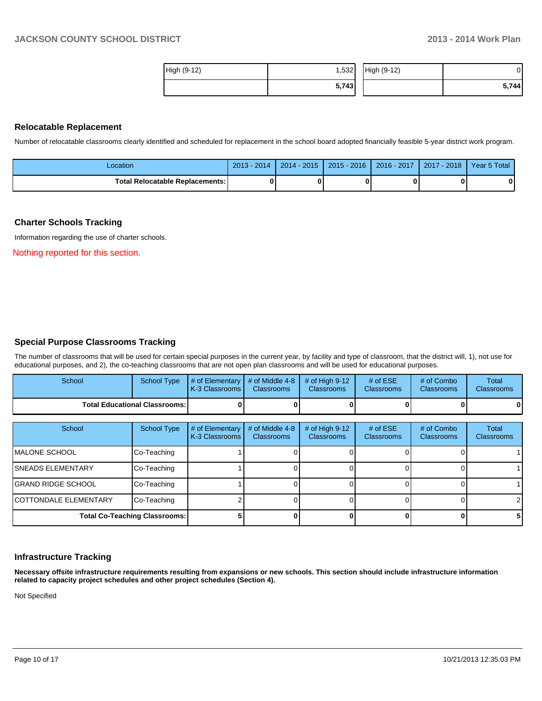| High (9-12) | ا 532.، | High (9-12) | J۱    |
|-------------|---------|-------------|-------|
|             | 5,743   |             | 5,744 |

#### **Relocatable Replacement**

Number of relocatable classrooms clearly identified and scheduled for replacement in the school board adopted financially feasible 5-year district work program.

| Location                                 | $2013 -$<br>2014 | $2014 - 2015$ | $2015 - 2016$ | 2016 - 2017 | $-2018$<br>2017 | Year 5 Total |
|------------------------------------------|------------------|---------------|---------------|-------------|-----------------|--------------|
| <b>Total Relocatable Replacements: I</b> | O                |               |               |             |                 |              |

#### **Charter Schools Tracking**

Information regarding the use of charter schools.

Nothing reported for this section.

#### **Special Purpose Classrooms Tracking**

The number of classrooms that will be used for certain special purposes in the current year, by facility and type of classroom, that the district will, 1), not use for educational purposes, and 2), the co-teaching classrooms that are not open plan classrooms and will be used for educational purposes.

| School                          | School Type | $\parallel$ # of Elementary $\parallel$ # of Middle 4-8 $\parallel$ # of High 9-12<br>K-3 Classrooms I | <b>Classrooms</b> | <b>Classrooms</b> | # of $ESE$<br><b>Classrooms</b> | # of Combo<br><b>Classrooms</b> | Total<br><b>Classrooms</b> |
|---------------------------------|-------------|--------------------------------------------------------------------------------------------------------|-------------------|-------------------|---------------------------------|---------------------------------|----------------------------|
| Total Educational Classrooms: I |             |                                                                                                        |                   |                   |                                 | 0                               | 0                          |

| School                        | <b>School Type</b>                   | # of Elementary<br>K-3 Classrooms | # of Middle 4-8<br><b>Classrooms</b> | # of High 9-12<br><b>Classrooms</b> | # of $ESE$<br><b>Classrooms</b> | # of Combo<br><b>Classrooms</b> | <b>Total</b><br><b>Classrooms</b> |
|-------------------------------|--------------------------------------|-----------------------------------|--------------------------------------|-------------------------------------|---------------------------------|---------------------------------|-----------------------------------|
| IMALONE SCHOOL                | Co-Teaching                          |                                   |                                      |                                     |                                 |                                 |                                   |
| <b>ISNEADS ELEMENTARY</b>     | Co-Teaching                          |                                   |                                      |                                     |                                 |                                 |                                   |
| <b>IGRAND RIDGE SCHOOL</b>    | Co-Teaching                          |                                   |                                      |                                     |                                 |                                 |                                   |
| <b>ICOTTONDALE ELEMENTARY</b> | Co-Teaching                          |                                   |                                      |                                     |                                 |                                 | $\mathcal{P}$                     |
|                               | <b>Total Co-Teaching Classrooms:</b> |                                   |                                      |                                     |                                 |                                 | 5.                                |

#### **Infrastructure Tracking**

**Necessary offsite infrastructure requirements resulting from expansions or new schools. This section should include infrastructure information related to capacity project schedules and other project schedules (Section 4).**

Not Specified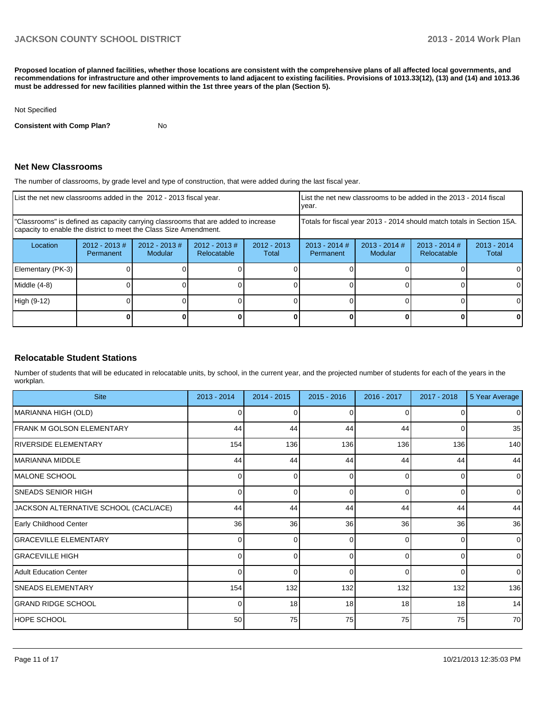**Proposed location of planned facilities, whether those locations are consistent with the comprehensive plans of all affected local governments, and recommendations for infrastructure and other improvements to land adjacent to existing facilities. Provisions of 1013.33(12), (13) and (14) and 1013.36 must be addressed for new facilities planned within the 1st three years of the plan (Section 5).**

#### Not Specified

**Consistent with Comp Plan?** No

#### **Net New Classrooms**

The number of classrooms, by grade level and type of construction, that were added during the last fiscal year.

| List the net new classrooms added in the 2012 - 2013 fiscal year.                                                                                       |                               |                                   |                                |                        | List the net new classrooms to be added in the 2013 - 2014 fiscal<br>Ivear. |  |                                |                        |
|---------------------------------------------------------------------------------------------------------------------------------------------------------|-------------------------------|-----------------------------------|--------------------------------|------------------------|-----------------------------------------------------------------------------|--|--------------------------------|------------------------|
| "Classrooms" is defined as capacity carrying classrooms that are added to increase<br>capacity to enable the district to meet the Class Size Amendment. |                               |                                   |                                |                        | Totals for fiscal year 2013 - 2014 should match totals in Section 15A.      |  |                                |                        |
| Location                                                                                                                                                | $2012 - 2013 \#$<br>Permanent | $2012 - 2013$ #<br><b>Modular</b> | $2012 - 2013$ #<br>Relocatable | $2012 - 2013$<br>Total | $2013 - 2014$ #<br>$2013 - 2014$ #<br>Modular<br>Permanent                  |  | $2013 - 2014$ #<br>Relocatable | $2013 - 2014$<br>Total |
| Elementary (PK-3)                                                                                                                                       |                               |                                   |                                |                        |                                                                             |  |                                |                        |
| Middle (4-8)                                                                                                                                            |                               |                                   |                                |                        |                                                                             |  |                                |                        |
| High (9-12)                                                                                                                                             |                               |                                   |                                |                        |                                                                             |  |                                |                        |
|                                                                                                                                                         |                               |                                   |                                |                        |                                                                             |  |                                |                        |

#### **Relocatable Student Stations**

Number of students that will be educated in relocatable units, by school, in the current year, and the projected number of students for each of the years in the workplan.

| <b>Site</b>                           | $2013 - 2014$ | $2014 - 2015$ | $2015 - 2016$ | 2016 - 2017  | $2017 - 2018$  | 5 Year Average |
|---------------------------------------|---------------|---------------|---------------|--------------|----------------|----------------|
| MARIANNA HIGH (OLD)                   |               | 0             |               |              | 0              | $\mathbf 0$    |
| <b>FRANK M GOLSON ELEMENTARY</b>      | 44            | 44            | 44            | 44           | $\overline{0}$ | 35             |
| RIVERSIDE ELEMENTARY                  | 154           | 136           | 136           | 136          | 136            | 140            |
| MARIANNA MIDDLE                       | 44            | 44            | 44            | 44           | 44             | 44             |
| MALONE SCHOOL                         | n             | 0             | ∩             | <sup>0</sup> | 0              | $\mathbf{0}$   |
| <b>SNEADS SENIOR HIGH</b>             | 0             | $\Omega$      | $\Omega$      | $\Omega$     | $\overline{0}$ | $\mathbf 0$    |
| JACKSON ALTERNATIVE SCHOOL (CACL/ACE) | 44            | 44            | 44            | 44           | 44             | 44             |
| Early Childhood Center                | 36            | 36            | 36            | 36           | 36             | 36             |
| <b>GRACEVILLE ELEMENTARY</b>          |               | 0             | ∩             | <sup>0</sup> | 0              | $\overline{0}$ |
| <b>GRACEVILLE HIGH</b>                | $\Omega$      | $\Omega$      | $\Omega$      | $\Omega$     | $\overline{0}$ | $\mathbf{0}$   |
| Adult Education Center                |               | $\Omega$      | $\Omega$      | $\Omega$     | $\Omega$       | $\mathbf{0}$   |
| <b>SNEADS ELEMENTARY</b>              | 154           | 132           | 132           | 132          | 132            | 136            |
| <b>GRAND RIDGE SCHOOL</b>             |               | 18            | 18            | 18           | 18             | 14             |
| <b>HOPE SCHOOL</b>                    | 50            | 75            | 75            | 75           | 75             | 70             |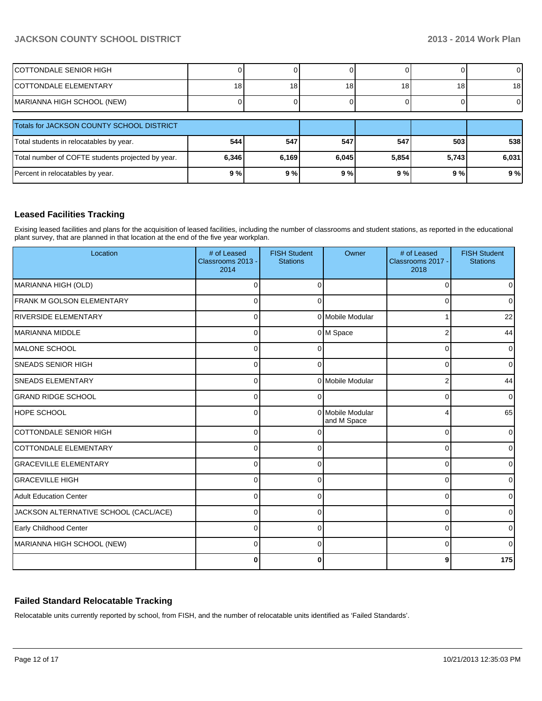| ICOTTONDALE SENIOR HIGH                           |       |                 |       |       |                 | $\overline{0}$  |
|---------------------------------------------------|-------|-----------------|-------|-------|-----------------|-----------------|
| <b>ICOTTONDALE ELEMENTARY</b>                     | 18    | 18 <sub>1</sub> | 18    | 18    | 18 <sub>1</sub> | 18 <sup>1</sup> |
| MARIANNA HIGH SCHOOL (NEW)                        |       |                 |       |       |                 | $\overline{0}$  |
| Totals for JACKSON COUNTY SCHOOL DISTRICT         |       |                 |       |       |                 |                 |
| Total students in relocatables by year.           | 544   | 547             | 547   | 547   | 503             | 538             |
| Total number of COFTE students projected by year. | 6,346 | 6,169           | 6.045 | 5,854 | 5,743           | 6,031           |
| Percent in relocatables by year.                  | 9%    | 9%              | 9%    | 9%    | 9%              | 9%              |

#### **Leased Facilities Tracking**

Exising leased facilities and plans for the acquisition of leased facilities, including the number of classrooms and student stations, as reported in the educational plant survey, that are planned in that location at the end of the five year workplan.

| Location                              | # of Leased<br>Classrooms 2013 -<br>2014 | <b>FISH Student</b><br><b>Stations</b> | Owner                           | # of Leased<br>Classrooms 2017 -<br>2018 | <b>FISH Student</b><br><b>Stations</b> |
|---------------------------------------|------------------------------------------|----------------------------------------|---------------------------------|------------------------------------------|----------------------------------------|
| MARIANNA HIGH (OLD)                   | $\Omega$                                 | $\Omega$                               |                                 | 0                                        | $\overline{0}$                         |
| FRANK M GOLSON ELEMENTARY             | $\Omega$                                 | 0                                      |                                 | 0                                        | 0                                      |
| <b>RIVERSIDE ELEMENTARY</b>           | 0                                        |                                        | 0 Mobile Modular                |                                          | 22                                     |
| MARIANNA MIDDLE                       | 0                                        |                                        | 0 M Space                       | 2                                        | 44                                     |
| IMALONE SCHOOL                        | 0                                        |                                        |                                 | 0                                        | $\overline{0}$                         |
| <b>SNEADS SENIOR HIGH</b>             | $\Omega$                                 | ∩                                      |                                 | $\Omega$                                 | $\overline{0}$                         |
| <b>SNEADS ELEMENTARY</b>              | $\Omega$                                 |                                        | 0 Mobile Modular                | $\overline{2}$                           | 44                                     |
| <b>GRAND RIDGE SCHOOL</b>             | $\Omega$                                 | ∩                                      |                                 | $\Omega$                                 | $\overline{0}$                         |
| HOPE SCHOOL                           | $\Omega$                                 |                                        | 0 Mobile Modular<br>and M Space | 4                                        | 65                                     |
| COTTONDALE SENIOR HIGH                | $\Omega$                                 |                                        |                                 | 0                                        | $\overline{0}$                         |
| COTTONDALE ELEMENTARY                 | $\Omega$                                 | <sup>0</sup>                           |                                 | 0                                        | $\overline{0}$                         |
| <b>GRACEVILLE ELEMENTARY</b>          | $\Omega$                                 | $\Omega$                               |                                 | 0                                        | 01                                     |
| <b>GRACEVILLE HIGH</b>                | $\Omega$                                 | 0                                      |                                 | 0                                        | $\overline{0}$                         |
| <b>Adult Education Center</b>         | $\Omega$                                 | 0                                      |                                 | 0                                        | $\overline{0}$                         |
| JACKSON ALTERNATIVE SCHOOL (CACL/ACE) | $\Omega$                                 | n                                      |                                 | 0                                        | $\overline{0}$                         |
| Early Childhood Center                | $\Omega$                                 | $\Omega$                               |                                 | $\Omega$                                 | $\Omega$                               |
| MARIANNA HIGH SCHOOL (NEW)            | $\Omega$                                 | $\Omega$                               |                                 | $\Omega$                                 | $\Omega$                               |
|                                       | $\Omega$                                 | 0                                      |                                 | 9                                        | 175                                    |

#### **Failed Standard Relocatable Tracking**

Relocatable units currently reported by school, from FISH, and the number of relocatable units identified as 'Failed Standards'.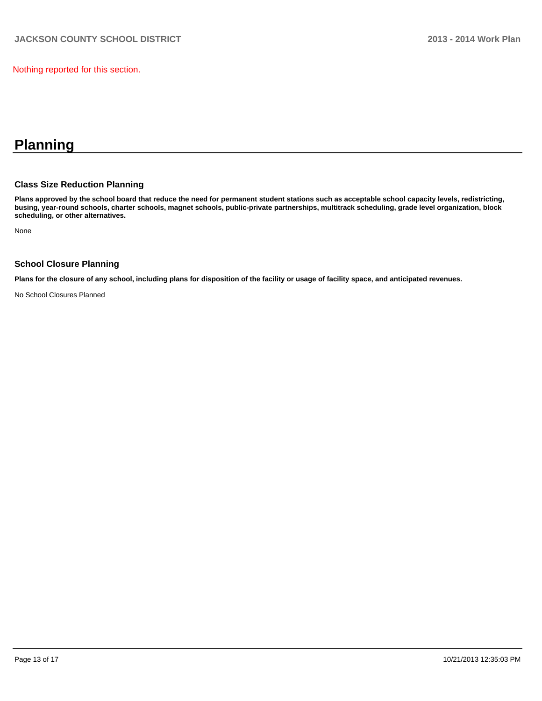Nothing reported for this section.

# **Planning**

#### **Class Size Reduction Planning**

**Plans approved by the school board that reduce the need for permanent student stations such as acceptable school capacity levels, redistricting, busing, year-round schools, charter schools, magnet schools, public-private partnerships, multitrack scheduling, grade level organization, block scheduling, or other alternatives.**

None

#### **School Closure Planning**

**Plans for the closure of any school, including plans for disposition of the facility or usage of facility space, and anticipated revenues.**

No School Closures Planned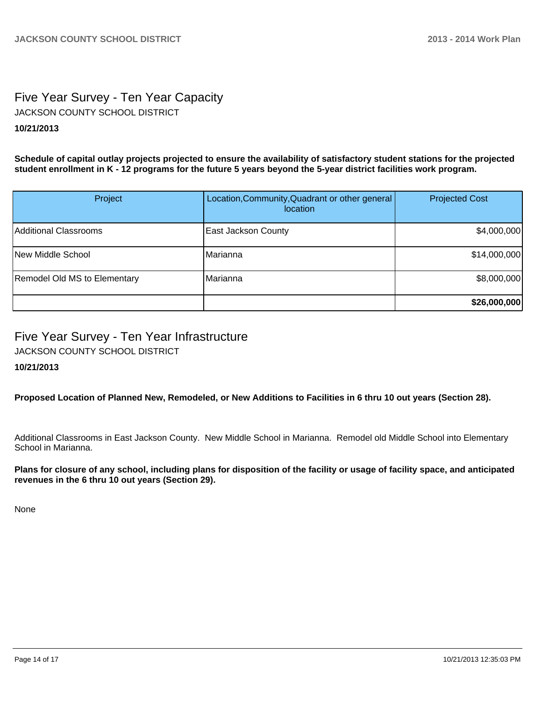# Five Year Survey - Ten Year Capacity JACKSON COUNTY SCHOOL DISTRICT

#### **10/21/2013**

**Schedule of capital outlay projects projected to ensure the availability of satisfactory student stations for the projected student enrollment in K - 12 programs for the future 5 years beyond the 5-year district facilities work program.**

| Project                             | Location, Community, Quadrant or other general<br><i>location</i> | <b>Projected Cost</b> |
|-------------------------------------|-------------------------------------------------------------------|-----------------------|
| Additional Classrooms               | <b>East Jackson County</b>                                        | \$4,000,000           |
| <b>INew Middle School</b>           | IMarianna                                                         | \$14,000,000          |
| <b>Remodel Old MS to Elementary</b> | IMarianna                                                         | \$8,000,000           |
|                                     |                                                                   | \$26,000,000          |

## Five Year Survey - Ten Year Infrastructure

JACKSON COUNTY SCHOOL DISTRICT

#### **10/21/2013**

**Proposed Location of Planned New, Remodeled, or New Additions to Facilities in 6 thru 10 out years (Section 28).**

Additional Classrooms in East Jackson County. New Middle School in Marianna. Remodel old Middle School into Elementary School in Marianna.

**Plans for closure of any school, including plans for disposition of the facility or usage of facility space, and anticipated revenues in the 6 thru 10 out years (Section 29).**

None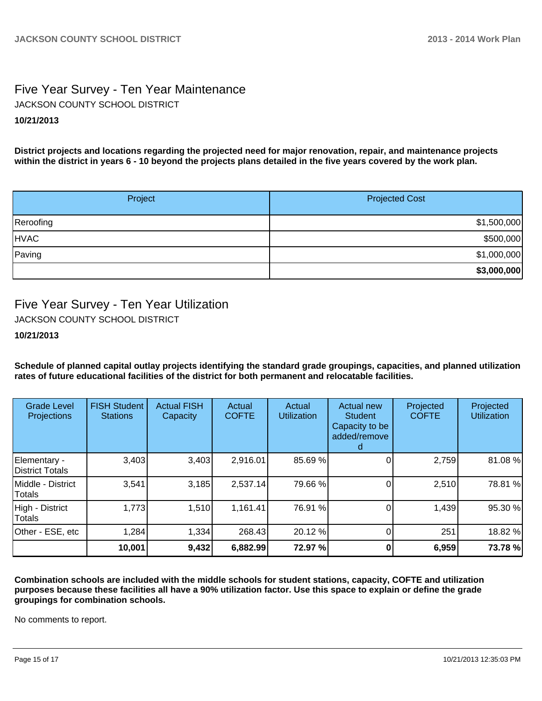# Five Year Survey - Ten Year Maintenance

JACKSON COUNTY SCHOOL DISTRICT

### **10/21/2013**

**District projects and locations regarding the projected need for major renovation, repair, and maintenance projects within the district in years 6 - 10 beyond the projects plans detailed in the five years covered by the work plan.**

| Project     | <b>Projected Cost</b> |  |  |
|-------------|-----------------------|--|--|
| Reroofing   | \$1,500,000           |  |  |
| <b>HVAC</b> | \$500,000             |  |  |
| Paving      | \$1,000,000           |  |  |
|             | \$3,000,000           |  |  |

# Five Year Survey - Ten Year Utilization

JACKSON COUNTY SCHOOL DISTRICT

#### **10/21/2013**

**Schedule of planned capital outlay projects identifying the standard grade groupings, capacities, and planned utilization rates of future educational facilities of the district for both permanent and relocatable facilities.**

| <b>Grade Level</b><br>Projections  | <b>FISH Student</b><br><b>Stations</b> | <b>Actual FISH</b><br>Capacity | Actual<br><b>COFTE</b> | Actual<br><b>Utilization</b> | <b>Actual new</b><br><b>Student</b><br>Capacity to be<br>added/remove | Projected<br><b>COFTE</b> | Projected<br><b>Utilization</b> |
|------------------------------------|----------------------------------------|--------------------------------|------------------------|------------------------------|-----------------------------------------------------------------------|---------------------------|---------------------------------|
| Elementary -<br>District Totals    | 3,403                                  | 3,403                          | 2,916.01               | 85.69 %                      |                                                                       | 2,759                     | 81.08 %                         |
| Middle - District<br><b>Totals</b> | 3,541                                  | 3,185                          | 2,537.14               | 79.66 %                      |                                                                       | 2,510                     | 78.81 %                         |
| High - District<br>Totals          | 1,773                                  | 1,510                          | 1,161.41               | 76.91 %                      |                                                                       | 1,439                     | 95.30 %                         |
| Other - ESE, etc                   | 1,284                                  | 1,334                          | 268.43                 | 20.12 %                      |                                                                       | 251                       | 18.82 %                         |
|                                    | 10,001                                 | 9,432                          | 6,882.99               | 72.97 %                      |                                                                       | 6,959                     | 73.78 %                         |

**Combination schools are included with the middle schools for student stations, capacity, COFTE and utilization purposes because these facilities all have a 90% utilization factor. Use this space to explain or define the grade groupings for combination schools.**

No comments to report.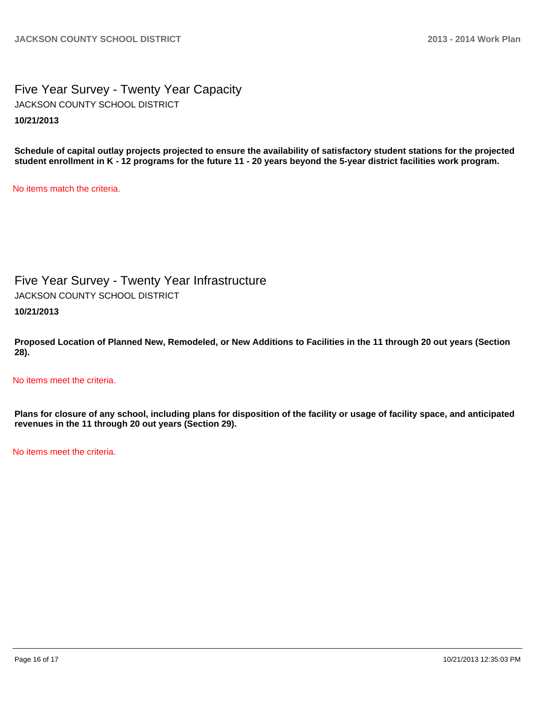### Five Year Survey - Twenty Year Capacity **10/21/2013** JACKSON COUNTY SCHOOL DISTRICT

**Schedule of capital outlay projects projected to ensure the availability of satisfactory student stations for the projected student enrollment in K - 12 programs for the future 11 - 20 years beyond the 5-year district facilities work program.**

No items match the criteria.

Five Year Survey - Twenty Year Infrastructure

JACKSON COUNTY SCHOOL DISTRICT

**10/21/2013**

**Proposed Location of Planned New, Remodeled, or New Additions to Facilities in the 11 through 20 out years (Section 28).**

No items meet the criteria.

**Plans for closure of any school, including plans for disposition of the facility or usage of facility space, and anticipated revenues in the 11 through 20 out years (Section 29).**

No items meet the criteria.